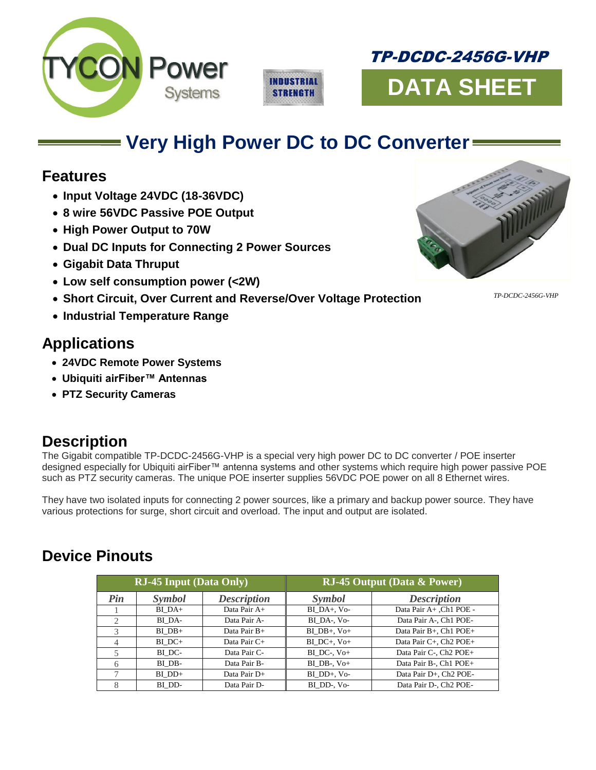





# **Very High Power DC to DC Converter**

# **Features**

- **Input Voltage 24VDC (18-36VDC)**
- **8 wire 56VDC Passive POE Output**
- **High Power Output to 70W**
- **Dual DC Inputs for Connecting 2 Power Sources**
- **Gigabit Data Thruput**
- **Low self consumption power (<2W)**
- **Short Circuit, Over Current and Reverse/Over Voltage Protection**
- **Industrial Temperature Range**

*TP-DCDC-2456G-VHP*

# **Applications**

- **24VDC Remote Power Systems**
- **Ubiquiti airFiber™ Antennas**
- **PTZ Security Cameras**

# **Description**

The Gigabit compatible TP-DCDC-2456G-VHP is a special very high power DC to DC converter / POE inserter designed especially for Ubiquiti airFiber™ antenna systems and other systems which require high power passive POE such as PTZ security cameras. The unique POE inserter supplies 56VDC POE power on all 8 Ethernet wires.

They have two isolated inputs for connecting 2 power sources, like a primary and backup power source. They have various protections for surge, short circuit and overload. The input and output are isolated.

# **Device Pinouts**

| <b>RJ-45 Input (Data Only)</b> |            |                    | <b>RJ-45 Output (Data &amp; Power)</b> |                                    |
|--------------------------------|------------|--------------------|----------------------------------------|------------------------------------|
| Pin                            | Symbol     | <b>Description</b> | Symbol                                 | <b>Description</b>                 |
|                                | BI DA+     | Data Pair A+       | BI DA+, Vo-                            | Data Pair A+, Ch1 POE -            |
| $\mathfrak{D}_{\mathfrak{p}}$  | BI DA-     | Data Pair A-       | BI DA-, Vo-                            | Data Pair A-, Ch1 POE-             |
| $\mathcal{F}$                  | $BI DB+$   | Data Pair B+       | $BI DB+$ , $Vo+$                       | Data Pair B+, Ch1 POE+             |
| $\overline{4}$                 | $BI$ $DC+$ | Data Pair C+       | $BI$ DC+, $V_0+$                       | Data Pair C+, Ch2 POE+             |
| 5                              | BI DC-     | Data Pair C-       | $BI$ DC-, $V_0+$                       | Data Pair C-, Ch <sub>2</sub> POE+ |
| 6                              | BI DB-     | Data Pair B-       | $BI$ $DB$ -, $V$ $O+$                  | Data Pair B-, Ch1 POE+             |
| $\mathcal{L}$                  | $BI$ $DD+$ | Data Pair D+       | BI DD+, Vo-                            | Data Pair D+. Ch <sub>2</sub> POE- |
|                                | BI DD-     | Data Pair D-       | BI DD-, Vo-                            | Data Pair D-, Ch <sub>2</sub> POE- |